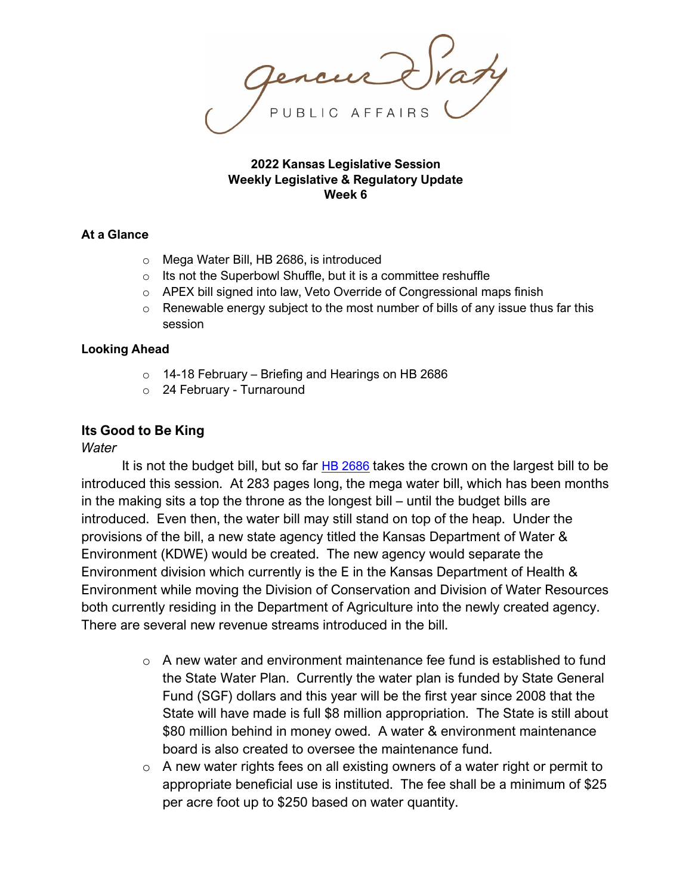#### **2022 Kansas Legislative Session Weekly Legislative & Regulatory Update Week 6**

### **At a Glance**

- o Mega Water Bill, HB 2686, is introduced
- o Its not the Superbowl Shuffle, but it is a committee reshuffle
- o APEX bill signed into law, Veto Override of Congressional maps finish
- $\circ$  Renewable energy subject to the most number of bills of any issue thus far this session

### **Looking Ahead**

- o 14-18 February Briefing and Hearings on HB 2686
- o 24 February Turnaround

# **Its Good to Be King**

## *Water*

It is not the budget bill, but so far [HB 2686](http://www.kslegislature.org/li/b2021_22/measures/documents/hb2686_00_0000.pdf) takes the crown on the largest bill to be introduced this session. At 283 pages long, the mega water bill, which has been months in the making sits a top the throne as the longest bill – until the budget bills are introduced. Even then, the water bill may still stand on top of the heap. Under the provisions of the bill, a new state agency titled the Kansas Department of Water & Environment (KDWE) would be created. The new agency would separate the Environment division which currently is the E in the Kansas Department of Health & Environment while moving the Division of Conservation and Division of Water Resources both currently residing in the Department of Agriculture into the newly created agency. There are several new revenue streams introduced in the bill.

- $\circ$  A new water and environment maintenance fee fund is established to fund the State Water Plan. Currently the water plan is funded by State General Fund (SGF) dollars and this year will be the first year since 2008 that the State will have made is full \$8 million appropriation. The State is still about \$80 million behind in money owed. A water & environment maintenance board is also created to oversee the maintenance fund.
- $\circ$  A new water rights fees on all existing owners of a water right or permit to appropriate beneficial use is instituted. The fee shall be a minimum of \$25 per acre foot up to \$250 based on water quantity.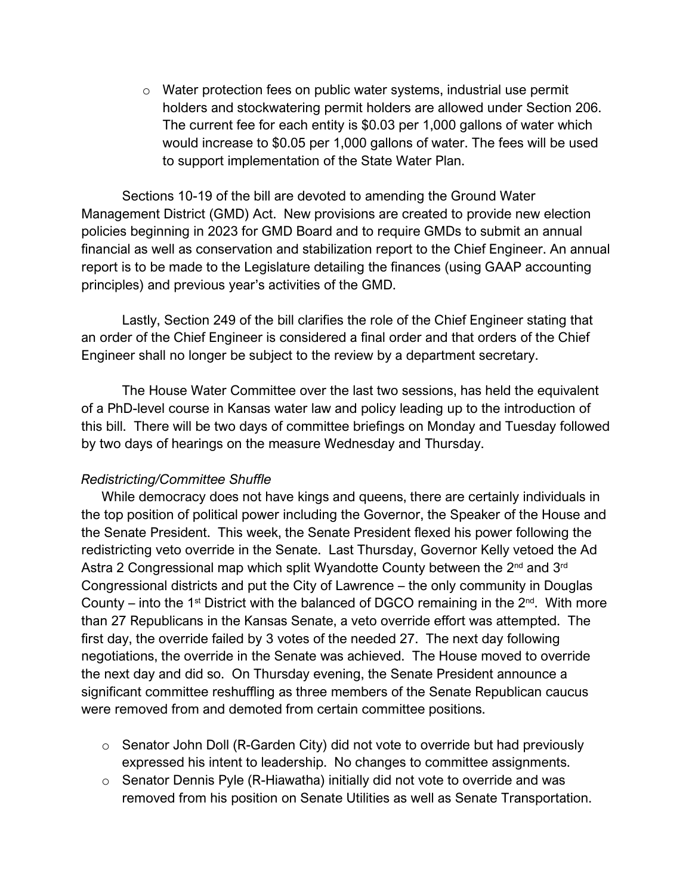o Water protection fees on public water systems, industrial use permit holders and stockwatering permit holders are allowed under Section 206. The current fee for each entity is \$0.03 per 1,000 gallons of water which would increase to \$0.05 per 1,000 gallons of water. The fees will be used to support implementation of the State Water Plan.

Sections 10-19 of the bill are devoted to amending the Ground Water Management District (GMD) Act. New provisions are created to provide new election policies beginning in 2023 for GMD Board and to require GMDs to submit an annual financial as well as conservation and stabilization report to the Chief Engineer. An annual report is to be made to the Legislature detailing the finances (using GAAP accounting principles) and previous year's activities of the GMD.

Lastly, Section 249 of the bill clarifies the role of the Chief Engineer stating that an order of the Chief Engineer is considered a final order and that orders of the Chief Engineer shall no longer be subject to the review by a department secretary.

The House Water Committee over the last two sessions, has held the equivalent of a PhD-level course in Kansas water law and policy leading up to the introduction of this bill. There will be two days of committee briefings on Monday and Tuesday followed by two days of hearings on the measure Wednesday and Thursday.

## *Redistricting/Committee Shuffle*

While democracy does not have kings and queens, there are certainly individuals in the top position of political power including the Governor, the Speaker of the House and the Senate President. This week, the Senate President flexed his power following the redistricting veto override in the Senate. Last Thursday, Governor Kelly vetoed the Ad Astra 2 Congressional map which split Wyandotte County between the 2<sup>nd</sup> and 3<sup>rd</sup> Congressional districts and put the City of Lawrence – the only community in Douglas County – into the 1<sup>st</sup> District with the balanced of DGCO remaining in the  $2^{nd}$ . With more than 27 Republicans in the Kansas Senate, a veto override effort was attempted. The first day, the override failed by 3 votes of the needed 27. The next day following negotiations, the override in the Senate was achieved. The House moved to override the next day and did so. On Thursday evening, the Senate President announce a significant committee reshuffling as three members of the Senate Republican caucus were removed from and demoted from certain committee positions.

- $\circ$  Senator John Doll (R-Garden City) did not vote to override but had previously expressed his intent to leadership. No changes to committee assignments.
- o Senator Dennis Pyle (R-Hiawatha) initially did not vote to override and was removed from his position on Senate Utilities as well as Senate Transportation.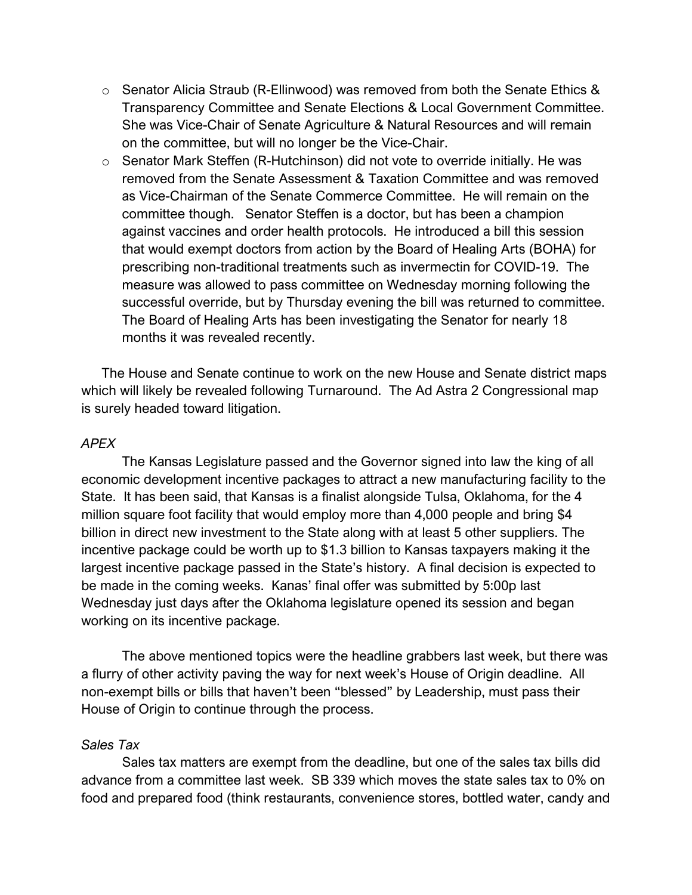- $\circ$  Senator Alicia Straub (R-Ellinwood) was removed from both the Senate Ethics & Transparency Committee and Senate Elections & Local Government Committee. She was Vice-Chair of Senate Agriculture & Natural Resources and will remain on the committee, but will no longer be the Vice-Chair.
- o Senator Mark Steffen (R-Hutchinson) did not vote to override initially. He was removed from the Senate Assessment & Taxation Committee and was removed as Vice-Chairman of the Senate Commerce Committee. He will remain on the committee though. Senator Steffen is a doctor, but has been a champion against vaccines and order health protocols. He introduced a bill this session that would exempt doctors from action by the Board of Healing Arts (BOHA) for prescribing non-traditional treatments such as invermectin for COVID-19. The measure was allowed to pass committee on Wednesday morning following the successful override, but by Thursday evening the bill was returned to committee. The Board of Healing Arts has been investigating the Senator for nearly 18 months it was revealed recently.

The House and Senate continue to work on the new House and Senate district maps which will likely be revealed following Turnaround. The Ad Astra 2 Congressional map is surely headed toward litigation.

#### *APEX*

The Kansas Legislature passed and the Governor signed into law the king of all economic development incentive packages to attract a new manufacturing facility to the State. It has been said, that Kansas is a finalist alongside Tulsa, Oklahoma, for the 4 million square foot facility that would employ more than 4,000 people and bring \$4 billion in direct new investment to the State along with at least 5 other suppliers. The incentive package could be worth up to \$1.3 billion to Kansas taxpayers making it the largest incentive package passed in the State's history. A final decision is expected to be made in the coming weeks. Kanas' final offer was submitted by 5:00p last Wednesday just days after the Oklahoma legislature opened its session and began working on its incentive package.

The above mentioned topics were the headline grabbers last week, but there was a flurry of other activity paving the way for next week's House of Origin deadline. All non-exempt bills or bills that haven't been "blessed" by Leadership, must pass their House of Origin to continue through the process.

### *Sales Tax*

Sales tax matters are exempt from the deadline, but one of the sales tax bills did advance from a committee last week. SB 339 which moves the state sales tax to 0% on food and prepared food (think restaurants, convenience stores, bottled water, candy and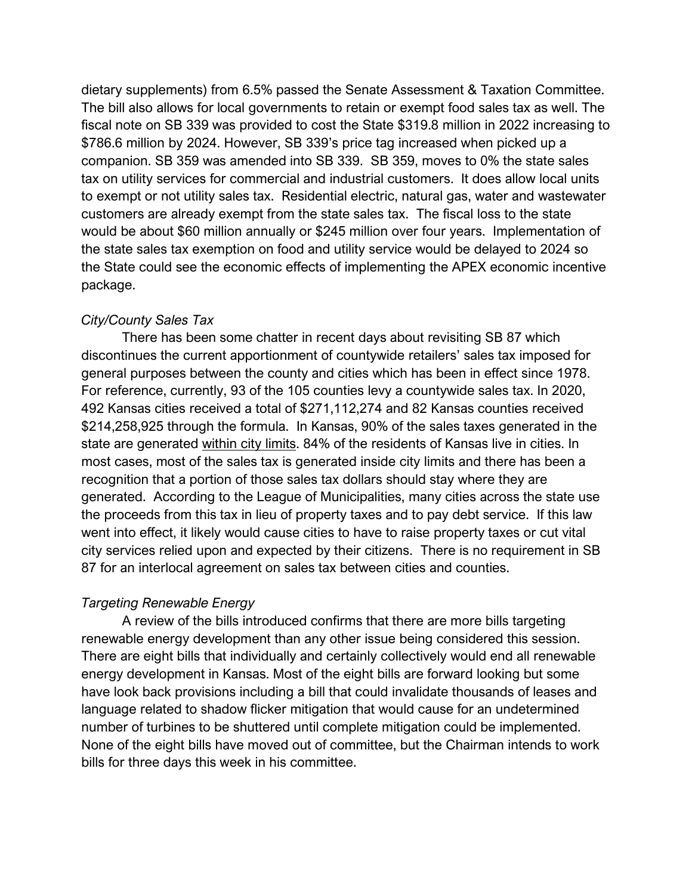dietary supplements) from 6.5% passed the Senate Assessment & Taxation Committee. The bill also allows for local governments to retain or exempt food sales tax as well. The fiscal note on SB 339 was provided to cost the State \$319.8 million in 2022 increasing to \$786.6 million by 2024. However, SB 339's price tag increased when picked up a companion. SB 359 was amended into SB 339. SB 359, moves to 0% the state sales tax on utility services for commercial and industrial customers. It does allow local units to exempt or not utility sales tax. Residential electric, natural gas, water and wastewater customers are already exempt from the state sales tax. The fiscal loss to the state would be about \$60 million annually or \$245 million over four years. Implementation of the state sales tax exemption on food and utility service would be delayed to 2024 so the State could see the economic effects of implementing the APEX economic incentive package.

### *City/County Sales Tax*

There has been some chatter in recent days about revisiting SB 87 which discontinues the current apportionment of countywide retailers' sales tax imposed for general purposes between the county and cities which has been in effect since 1978. For reference, currently, 93 of the 105 counties levy a countywide sales tax. In 2020, 492 Kansas cities received a total of \$271,112,274 and 82 Kansas counties received \$214,258,925 through the formula. In Kansas, 90% of the sales taxes generated in the state are generated within city limits. 84% of the residents of Kansas live in cities. In most cases, most of the sales tax is generated inside city limits and there has been a recognition that a portion of those sales tax dollars should stay where they are generated. According to the League of Municipalities, many cities across the state use the proceeds from this tax in lieu of property taxes and to pay debt service. If this law went into effect, it likely would cause cities to have to raise property taxes or cut vital city services relied upon and expected by their citizens. There is no requirement in SB 87 for an interlocal agreement on sales tax between cities and counties.

## *Targeting Renewable Energy*

A review of the bills introduced confirms that there are more bills targeting renewable energy development than any other issue being considered this session. There are eight bills that individually and certainly collectively would end all renewable energy development in Kansas. Most of the eight bills are forward looking but some have look back provisions including a bill that could invalidate thousands of leases and language related to shadow flicker mitigation that would cause for an undetermined number of turbines to be shuttered until complete mitigation could be implemented. None of the eight bills have moved out of committee, but the Chairman intends to work bills for three days this week in his committee.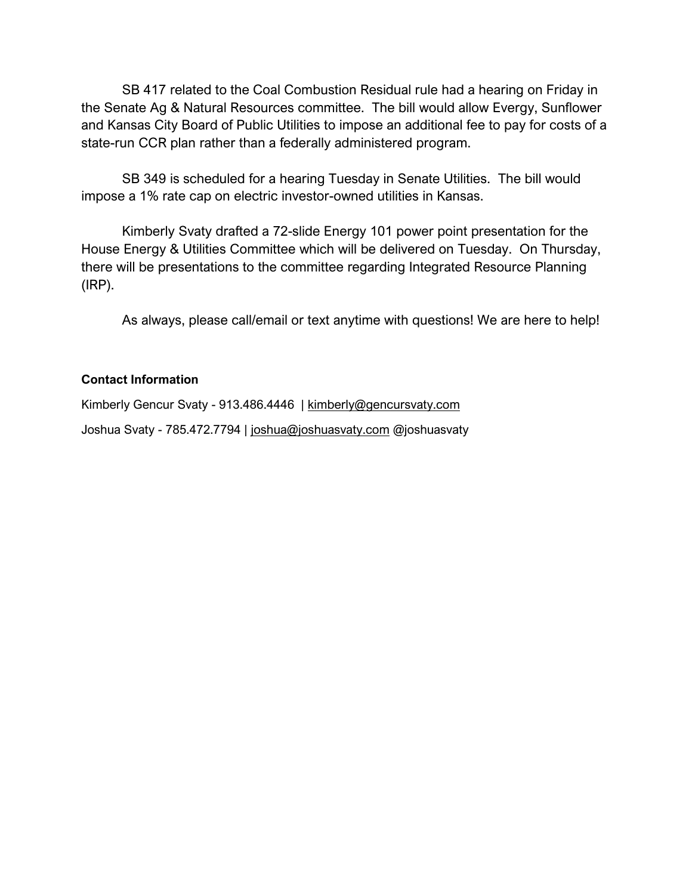SB 417 related to the Coal Combustion Residual rule had a hearing on Friday in the Senate Ag & Natural Resources committee. The bill would allow Evergy, Sunflower and Kansas City Board of Public Utilities to impose an additional fee to pay for costs of a state-run CCR plan rather than a federally administered program.

SB 349 is scheduled for a hearing Tuesday in Senate Utilities. The bill would impose a 1% rate cap on electric investor-owned utilities in Kansas.

Kimberly Svaty drafted a 72-slide Energy 101 power point presentation for the House Energy & Utilities Committee which will be delivered on Tuesday. On Thursday, there will be presentations to the committee regarding Integrated Resource Planning (IRP).

As always, please call/email or text anytime with questions! We are here to help!

## **Contact Information**

Kimberly Gencur Svaty - 913.486.4446 | [kimberly@gencursvaty.com](mailto:kimberly@gencursvaty.com) Joshua Svaty - 785.472.7794 | [joshua@joshuasvaty.com](mailto:joshua@joshuasvaty.com) @joshuasvaty